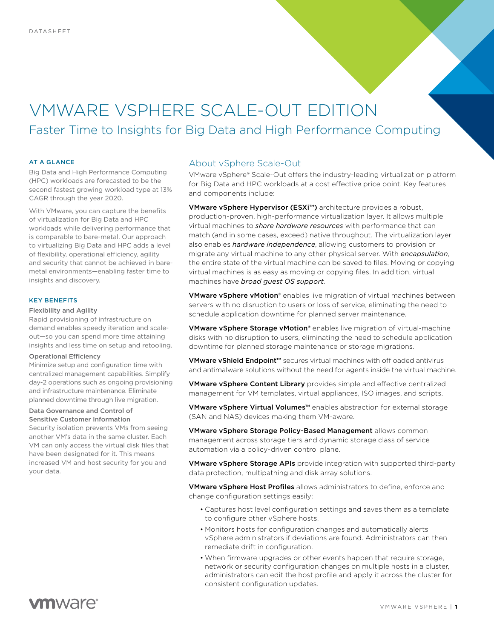# VMWARE VSPHERE SCALE-OUT EDITION Faster Time to Insights for Big Data and High Performance Computing

## AT A GLANCE

Big Data and High Performance Computing (HPC) workloads are forecasted to be the second fastest growing workload type at 13% CAGR through the year 2020.

With VMware, you can capture the benefits of virtualization for Big Data and HPC workloads while delivering performance that is comparable to bare-metal. Our approach to virtualizing Big Data and HPC adds a level of flexibility, operational efficiency, agility and security that cannot be achieved in baremetal environments—enabling faster time to insights and discovery.

## KEY BENEFITS

## Flexibility and Agility

Rapid provisioning of infrastructure on demand enables speedy iteration and scaleout—so you can spend more time attaining insights and less time on setup and retooling.

#### Operational Efficiency

Minimize setup and configuration time with centralized management capabilities. Simplify day-2 operations such as ongoing provisioning and infrastructure maintenance. Eliminate planned downtime through live migration.

### Data Governance and Control of Sensitive Customer Information

Security isolation prevents VMs from seeing another VM's data in the same cluster. Each VM can only access the virtual disk files that have been designated for it. This means increased VM and host security for you and your data.

## About vSphere Scale-Out

VMware vSphere® Scale-Out offers the industry-leading virtualization platform for Big Data and HPC workloads at a cost effective price point. Key features and components include:

VMware vSphere Hypervisor (ESXi™) architecture provides a robust, production-proven, high-performance virtualization layer. It allows multiple virtual machines to *share hardware resources* with performance that can match (and in some cases, exceed) native throughput. The virtualization layer also enables *hardware independence*, allowing customers to provision or migrate any virtual machine to any other physical server. With *encapsulation*, the entire state of the virtual machine can be saved to files. Moving or copying virtual machines is as easy as moving or copying files. In addition, virtual machines have *broad guest OS support*.

**VMware vSphere vMotion®** enables live migration of virtual machines between servers with no disruption to users or loss of service, eliminating the need to schedule application downtime for planned server maintenance.

VMware vSphere Storage vMotion® enables live migration of virtual-machine disks with no disruption to users, eliminating the need to schedule application downtime for planned storage maintenance or storage migrations.

VMware vShield Endpoint<sup>™</sup> secures virtual machines with offloaded antivirus and antimalware solutions without the need for agents inside the virtual machine.

VMware vSphere Content Library provides simple and effective centralized management for VM templates, virtual appliances, ISO images, and scripts.

VMware vSphere Virtual Volumes<sup>™</sup> enables abstraction for external storage (SAN and NAS) devices making them VM-aware.

VMware vSphere Storage Policy-Based Management allows common management across storage tiers and dynamic storage class of service automation via a policy-driven control plane.

VMware vSphere Storage APIs provide integration with supported third-party data protection, multipathing and disk array solutions.

VMware vSphere Host Profiles allows administrators to define, enforce and change configuration settings easily:

- Captures host level configuration settings and saves them as a template to configure other vSphere hosts.
- Monitors hosts for configuration changes and automatically alerts vSphere administrators if deviations are found. Administrators can then remediate drift in configuration.
- When firmware upgrades or other events happen that require storage, network or security configuration changes on multiple hosts in a cluster, administrators can edit the host profile and apply it across the cluster for consistent configuration updates.